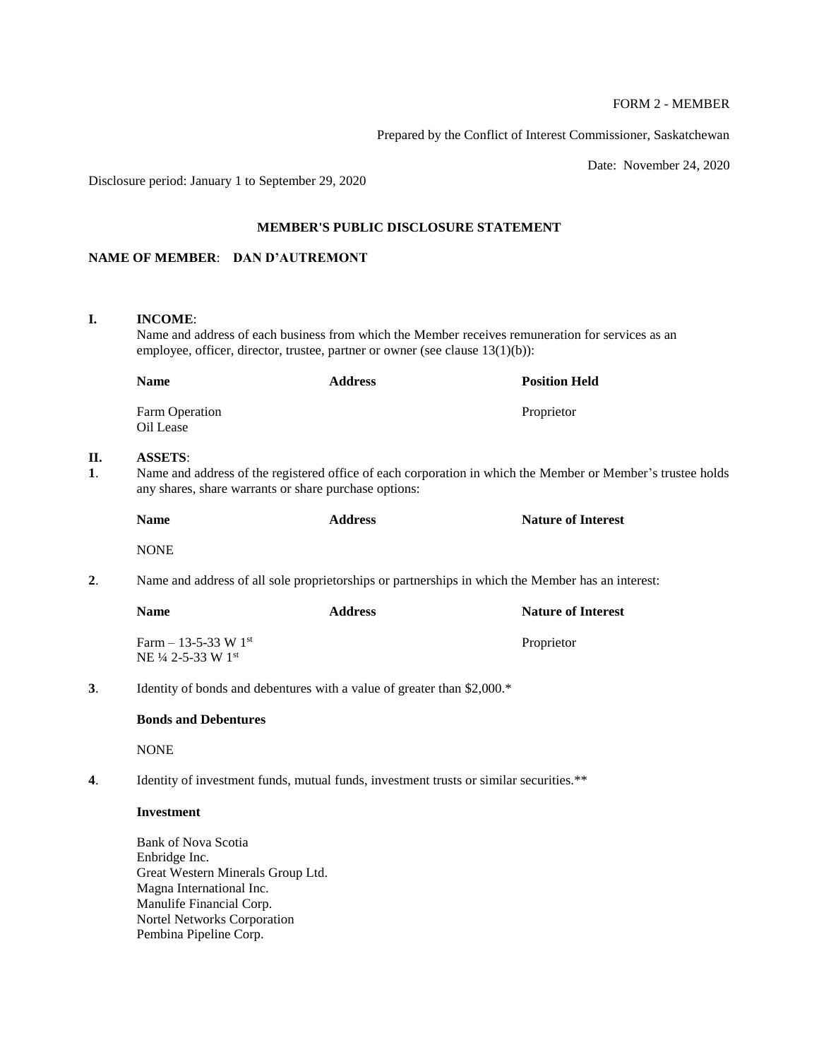## FORM 2 - MEMBER

Prepared by the Conflict of Interest Commissioner, Saskatchewan

Date: November 24, 2020

Disclosure period: January 1 to September 29, 2020

### **MEMBER'S PUBLIC DISCLOSURE STATEMENT**

## **NAME OF MEMBER**: **DAN D'AUTREMONT**

## **I. INCOME**:

**II.** 

Name and address of each business from which the Member receives remuneration for services as an employee, officer, director, trustee, partner or owner (see clause 13(1)(b)):

|                      | <b>Name</b>                                                                                                                                                                            | <b>Address</b> | <b>Position Held</b>      |  |  |  |
|----------------------|----------------------------------------------------------------------------------------------------------------------------------------------------------------------------------------|----------------|---------------------------|--|--|--|
|                      | Farm Operation<br>Oil Lease                                                                                                                                                            |                | Proprietor                |  |  |  |
| П.<br>$\mathbf{1}$ . | <b>ASSETS:</b><br>Name and address of the registered office of each corporation in which the Member or Member's trustee holds<br>any shares, share warrants or share purchase options: |                |                           |  |  |  |
|                      | <b>Name</b>                                                                                                                                                                            | <b>Address</b> | <b>Nature of Interest</b> |  |  |  |
|                      | <b>NONE</b>                                                                                                                                                                            |                |                           |  |  |  |
| 2.                   | Name and address of all sole proprietorships or partnerships in which the Member has an interest:                                                                                      |                |                           |  |  |  |
|                      | <b>Name</b>                                                                                                                                                                            | <b>Address</b> | <b>Nature of Interest</b> |  |  |  |
|                      | Farm $-$ 13-5-33 W 1st<br>NE 1/4 2-5-33 W 1st                                                                                                                                          |                | Proprietor                |  |  |  |
| 3.                   | Identity of bonds and debentures with a value of greater than \$2,000.*                                                                                                                |                |                           |  |  |  |
|                      | <b>Bonds and Debentures</b>                                                                                                                                                            |                |                           |  |  |  |
|                      | <b>NONE</b>                                                                                                                                                                            |                |                           |  |  |  |
| 4.                   | Identity of investment funds, mutual funds, investment trusts or similar securities.**                                                                                                 |                |                           |  |  |  |
|                      | <b>Investment</b>                                                                                                                                                                      |                |                           |  |  |  |
|                      | <b>Bank of Nova Scotia</b>                                                                                                                                                             |                |                           |  |  |  |

Enbridge Inc. Great Western Minerals Group Ltd. Magna International Inc. Manulife Financial Corp. Nortel Networks Corporation Pembina Pipeline Corp.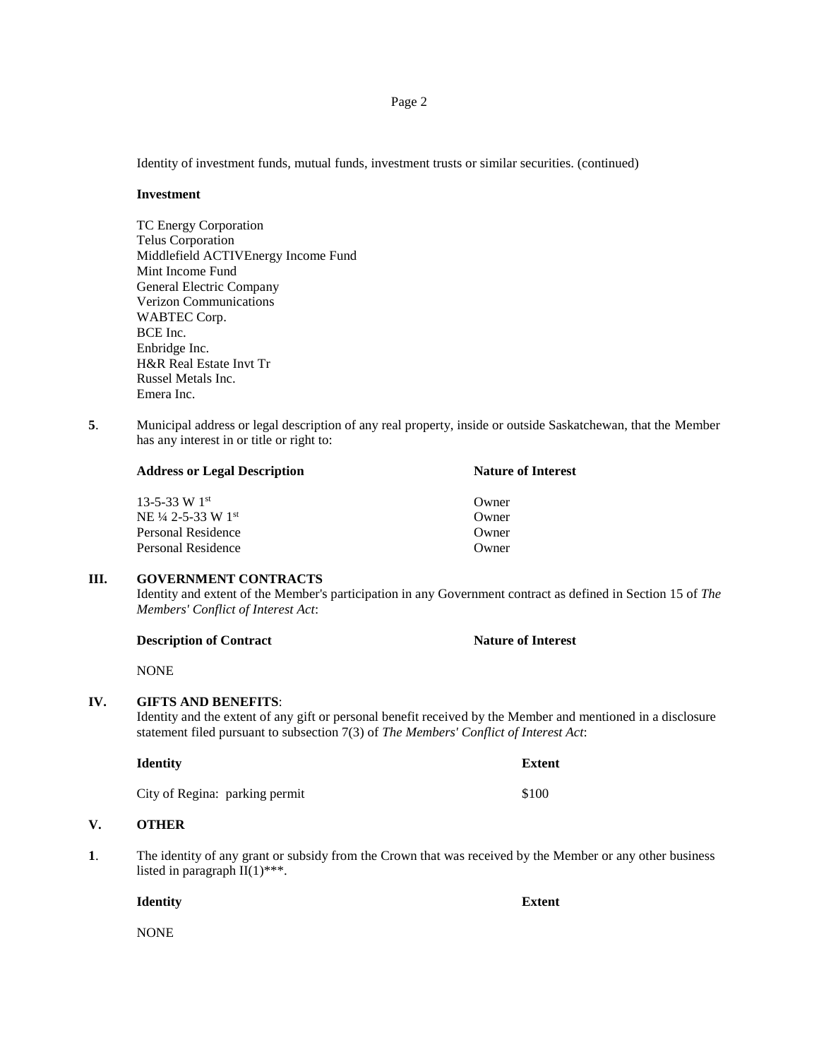Identity of investment funds, mutual funds, investment trusts or similar securities. (continued)

#### **Investment**

TC Energy Corporation Telus Corporation Middlefield ACTIVEnergy Income Fund Mint Income Fund General Electric Company Verizon Communications WABTEC Corp. BCE Inc. Enbridge Inc. H&R Real Estate Invt Tr Russel Metals Inc. Emera Inc.

**5**. Municipal address or legal description of any real property, inside or outside Saskatchewan, that the Member has any interest in or title or right to:

| <b>Address or Legal Description</b> | <b>Nature of Interest</b> |  |
|-------------------------------------|---------------------------|--|
| $13 - 5 - 33$ W $1^{st}$            | Owner                     |  |
| NE 1/4 2-5-33 W 1st                 | Owner                     |  |
| Personal Residence                  | Owner                     |  |
| Personal Residence                  | Owner)                    |  |

### **III. GOVERNMENT CONTRACTS**

Identity and extent of the Member's participation in any Government contract as defined in Section 15 of *The Members' Conflict of Interest Act*:

| <b>Description of Contract</b> | <b>Nature of Interest</b> |
|--------------------------------|---------------------------|
|--------------------------------|---------------------------|

NONE

### **IV. GIFTS AND BENEFITS**:

Identity and the extent of any gift or personal benefit received by the Member and mentioned in a disclosure statement filed pursuant to subsection 7(3) of *The Members' Conflict of Interest Act*:

| City of Regina: parking permit |  | \$100 |
|--------------------------------|--|-------|

**Identity Extent**

# **V. OTHER**

**1**. The identity of any grant or subsidy from the Crown that was received by the Member or any other business listed in paragraph  $II(1)$ \*\*\*.

**Identity Extent**

NONE